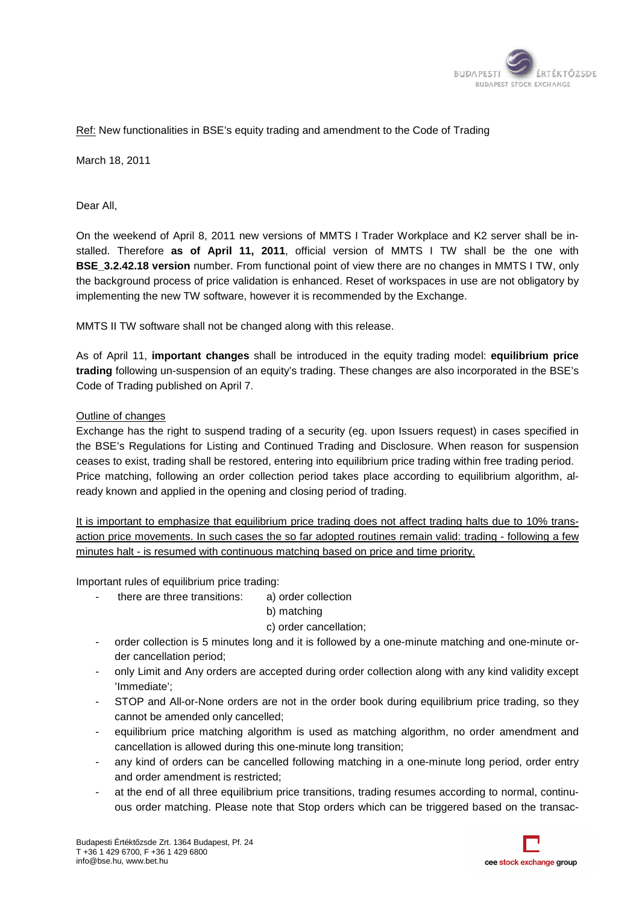

## Ref: New functionalities in BSE's equity trading and amendment to the Code of Trading

March 18, 2011

Dear All,

On the weekend of April 8, 2011 new versions of MMTS I Trader Workplace and K2 server shall be installed. Therefore as of April 11, 2011, official version of MMTS I TW shall be the one with **BSE\_3.2.42.18 version** number. From functional point of view there are no changes in MMTS I TW, only the background process of price validation is enhanced. Reset of workspaces in use are not obligatory by implementing the new TW software, however it is recommended by the Exchange. Exchange.

MMTS II TW software shall not be changed along with this release.

As of April 11, **important changes** shall be introduced in the equity trading model: **equilibrium price** trading following un-suspension of an equity's trading. These changes are also incorporated in the BSE's Code of Trading published on April 7 7.

## Outline of changes

Exchange has the right to suspend trading of a security (eg. upon Issuers request) in cases specified in the BSE's Regulations for Listing and Continued Trading and Disclosure. When reason for suspension ceases to exist, trading shall be restored, entering into equilibrium price trading within free trading period. Price matching, following an order collection period takes place according to equilibrium algorithm, a already known and applied in the opening and closing period of trading. nas the right to suspend trading of a security (eg. upon Issuers request) in cases specified ir<br>Regulations for Listing and Continued Trading and Disclosure. When reason for suspensior<br>xist, trading shall be restored, ente SE's equity trading and annendment to the Code of Trading<br>2011 new versions of MMTS I Trader Workplace and K2<br>1**ppril 11, 2011**, official version of MMTS I TW shall<br>between From functional point of view there are no change

It is important to emphasize that equilibrium price trading does not affect trading halts due to 10% transaction price movements. In such cases the so far adopted routines remain valid: trading - following a few minutes halt - is resumed with continuous matching based on price and time priority.

- Important rules of equilibrium price trading: mportant transitions: a) order collection there are three transitions:
	- b) matching
	- c) order cancellation;
	- order collection is 5 minutes long and it is followed by a one-minute matching and one-minute order cancellation period;
	- only Limit and Any orders are accepted during order collection along with any kind validity except 'Immediate';
	- STOP and All-or-None orders are not in the order book during equilibrium price trading, so they cannot be amended only cancelled;
	- equilibrium price matching algorithm is used as matching algorithm, no order amendment and cancellation is allowed during this one-minute long transition: None orders are not in the order book durined only cancelled;<br>matching algorithm is used as matching a<br>owed during this one-minute long transition;
	- any kind of orders can be cancelled following matching in a one-minute long period, order entry and order amendment is restricted; - any kind of orders can be cancelled following matching in a one-minute long period, order entry<br>and order amendment is restricted;<br>- at the end of all three equilibrium price transitions, trading resumes according to nor
	- ous order matching. Please note that Stop orders which can be triggered based on the transac-